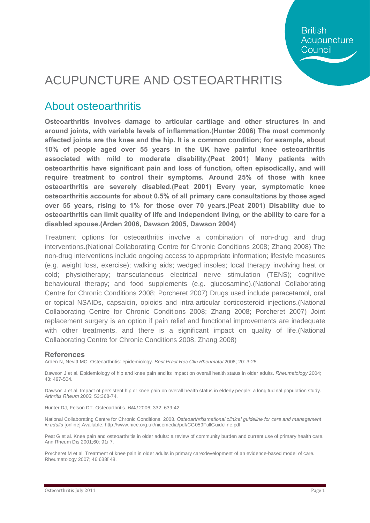**British** Acupuncture Council

# ACUPUNCTURE AND OSTEOARTHRITIS

#### About osteoarthritis

**Osteoarthritis involves damage to articular cartilage and other structures in and around joints, with variable levels of inflammation.(Hunter 2006) The most commonly affected joints are the knee and the hip. It is a common condition; for example, about 10% of people aged over 55 years in the UK have painful knee osteoarthritis associated with mild to moderate disability.(Peat 2001) Many patients with osteoarthritis have significant pain and loss of function, often episodically, and will require treatment to control their symptoms. Around 25% of those with knee osteoarthritis are severely disabled.(Peat 2001) Every year, symptomatic knee osteoarthritis accounts for about 0.5% of all primary care consultations by those aged over 55 years, rising to 1% for those over 70 years.(Peat 2001) Disability due to osteoarthritis can limit quality of life and independent living, or the ability to care for a disabled spouse.(Arden 2006, Dawson 2005, Dawson 2004)**

Treatment options for osteoarthritis involve a combination of non-drug and drug interventions.(National Collaborating Centre for Chronic Conditions 2008; Zhang 2008) The non-drug interventions include ongoing access to appropriate information; lifestyle measures (e.g. weight loss, exercise); walking aids; wedged insoles; local therapy involving heat or cold; physiotherapy; transcutaneous electrical nerve stimulation (TENS); cognitive behavioural therapy; and food supplements (e.g. glucosamine).(National Collaborating Centre for Chronic Conditions 2008; Porcheret 2007) Drugs used include paracetamol, oral or topical NSAIDs, capsaicin, opioids and intra-articular corticosteroid injections.(National Collaborating Centre for Chronic Conditions 2008; Zhang 2008; Porcheret 2007) Joint replacement surgery is an option if pain relief and functional improvements are inadequate with other treatments, and there is a significant impact on quality of life.(National Collaborating Centre for Chronic Conditions 2008, Zhang 2008)

#### **References**

Arden N, Nevitt MC. Osteoarthritis: epidemiology. *Best Pract Res Clin Rheumatol* 2006; 20: 3-25.

Dawson J et al. Epidemiology of hip and knee pain and its impact on overall health status in older adults. *Rheumatology* 2004; 43: 497-504.

Dawson J et al. Impact of persistent hip or knee pain on overall health status in elderly people: a longitudinal population study. *Arthritis Rheum* 2005; 53:368-74.

Hunter DJ, Felson DT. Osteoarthritis. *BMJ* 2006; 332: 639-42.

National Collaborating Centre for Chronic Conditions, 2008. *Osteoarthritis:national clinical guideline for care and management in adults* [online].Available: http://www.nice.org.uk/nicemedia/pdf/CG059FullGuideline.pdf

Peat G et al. Knee pain and osteoarthritis in older adults: a review of community burden and current use of primary health care. Ann Rheum Dis 2001;60: 91. 7.

Porcheret M et al. Treatment of knee pain in older adults in primary care:development of an evidence-based model of care. Rheumatology 2007; 46:638–48.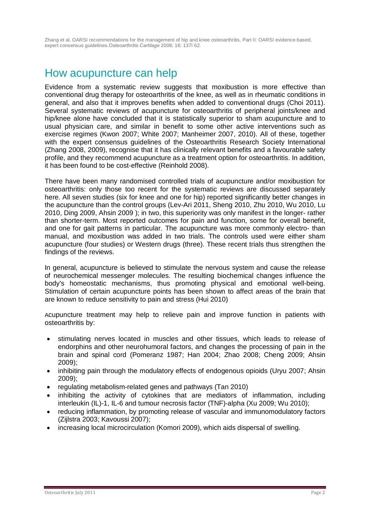Zhang et al. OARSI recommendations for the management of hip and knee osteoarthritis, Part II: OARSI evidence-based, expert consensus guidelines.*Osteoarthritis Cartilage* 2008; 16: 137–62.

### How acupuncture can help

Evidence from a systematic review suggests that moxibustion is more effective than conventional drug therapy for osteoarthritis of the knee, as well as in rheumatic conditions in general, and also that it improves benefits when added to conventional drugs (Choi 2011). Several systematic reviews of acupuncture for osteoarthritis of peripheral joints/knee and hip/knee alone have concluded that it is statistically superior to sham acupuncture and to usual physician care, and similar in benefit to some other active interventions such as exercise regimes (Kwon 2007; White 2007; Manheimer 2007, 2010). All of these, together with the expert consensus guidelines of the Osteoarthritis Research Society International (Zhang 2008, 2009), recognise that it has clinically relevant benefits and a favourable safety profile, and they recommend acupuncture as a treatment option for osteoarthritis. In addition, it has been found to be cost-effective (Reinhold 2008).

There have been many randomised controlled trials of acupuncture and/or moxibustion for osteoarthritis: only those too recent for the systematic reviews are discussed separately here. All seven studies (six for knee and one for hip) reported significantly better changes in the acupuncture than the control groups (Lev-Ari 2011, Sheng 2010, Zhu 2010, Wu 2010, Lu 2010, Ding 2009, Ahsin 2009 ); in two, this superiority was only manifest in the longer- rather than shorter-term. Most reported outcomes for pain and function, some for overall benefit, and one for gait patterns in particular. The acupuncture was more commonly electro- than manual, and moxibustion was added in two trials. The controls used were either sham acupuncture (four studies) or Western drugs (three). These recent trials thus strengthen the findings of the reviews.

In general, acupuncture is believed to stimulate the nervous system and cause the release of neurochemical messenger molecules. The resulting biochemical changes influence the body's homeostatic mechanisms, thus promoting physical and emotional well-being. Stimulation of certain acupuncture points has been shown to affect areas of the brain that are known to reduce sensitivity to pain and stress (Hui 2010)

Acupuncture treatment may help to relieve pain and improve function in patients with osteoarthritis by:

- · stimulating nerves located in muscles and other tissues, which leads to release of endorphins and other neurohumoral factors, and changes the processing of pain in the brain and spinal cord (Pomeranz 1987; Han 2004; Zhao 2008; Cheng 2009; Ahsin 2009);
- inhibiting pain through the modulatory effects of endogenous opioids (Uryu 2007; Ahsin 2009);
- · regulating metabolism-related genes and pathways (Tan 2010)
- inhibiting the activity of cytokines that are mediators of inflammation, including interleukin (IL)-1, IL-6 and tumour necrosis factor (TNF)-alpha (Xu 2009; Wu 2010);
- · reducing inflammation, by promoting release of vascular and immunomodulatory factors (Zijlstra 2003; Kavoussi 2007);
- · increasing local microcirculation (Komori 2009), which aids dispersal of swelling.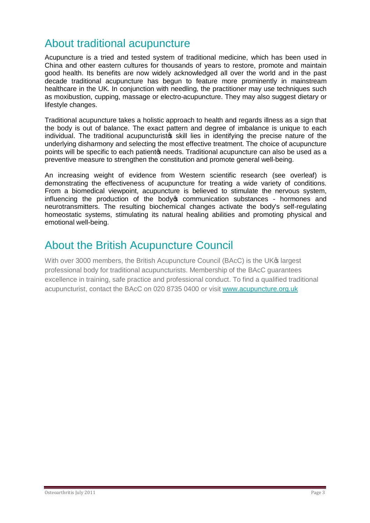### About traditional acupuncture

Acupuncture is a tried and tested system of traditional medicine, which has been used in China and other eastern cultures for thousands of years to restore, promote and maintain good health. Its benefits are now widely acknowledged all over the world and in the past decade traditional acupuncture has begun to feature more prominently in mainstream healthcare in the UK. In conjunction with needling, the practitioner may use techniques such as moxibustion, cupping, massage or electro-acupuncture. They may also suggest dietary or lifestyle changes.

Traditional acupuncture takes a holistic approach to health and regards illness as a sign that the body is out of balance. The exact pattern and degree of imbalance is unique to each individual. The traditional acupuncturist is skill lies in identifying the precise nature of the underlying disharmony and selecting the most effective treatment. The choice of acupuncture points will be specific to each patient of needs. Traditional acupuncture can also be used as a preventive measure to strengthen the constitution and promote general well-being.

An increasing weight of evidence from Western scientific research (see overleaf) is demonstrating the effectiveness of acupuncture for treating a wide variety of conditions. From a biomedical viewpoint, acupuncture is believed to stimulate the nervous system, influencing the production of the body to communication substances - hormones and neurotransmitters. The resulting biochemical changes activate the body's self-regulating homeostatic systems, stimulating its natural healing abilities and promoting physical and emotional well-being.

## About the British Acupuncture Council

With over 3000 members, the British Acupuncture Council (BAcC) is the UK<sup>®</sup> largest professional body for traditional acupuncturists. Membership of the BAcC guarantees excellence in training, safe practice and professional conduct. To find a qualified traditional acupuncturist, contact the BAcC on 020 8735 0400 or visit [www.acupuncture.org.uk](http://www.acupuncture.org.uk/)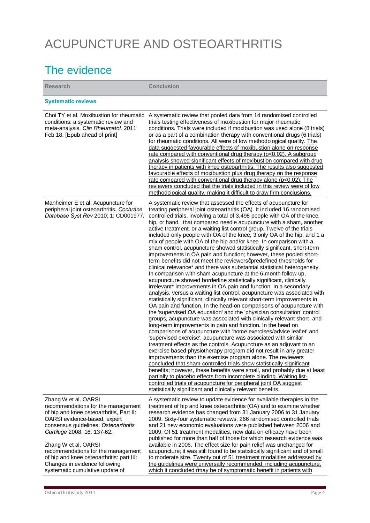# ACUPUNCTURE AND OSTEOARTHRITIS

## The evidence

| <b>Research</b>                                                                                                                                                                                                                                                                                                                                                                              | <b>Conclusion</b>                                                                                                                                                                                                                                                                                                                                                                                                                                                                                                                                                                                                                                                                                                                                                                                                                                                                                                                                                                                                                                                                                                                                                                                                                                                                                                                                                                                                                                                                                                                                                                                                                                                                                                                                                                                                                                                                                                                                                                                                                                                                                                                                                                                                 |
|----------------------------------------------------------------------------------------------------------------------------------------------------------------------------------------------------------------------------------------------------------------------------------------------------------------------------------------------------------------------------------------------|-------------------------------------------------------------------------------------------------------------------------------------------------------------------------------------------------------------------------------------------------------------------------------------------------------------------------------------------------------------------------------------------------------------------------------------------------------------------------------------------------------------------------------------------------------------------------------------------------------------------------------------------------------------------------------------------------------------------------------------------------------------------------------------------------------------------------------------------------------------------------------------------------------------------------------------------------------------------------------------------------------------------------------------------------------------------------------------------------------------------------------------------------------------------------------------------------------------------------------------------------------------------------------------------------------------------------------------------------------------------------------------------------------------------------------------------------------------------------------------------------------------------------------------------------------------------------------------------------------------------------------------------------------------------------------------------------------------------------------------------------------------------------------------------------------------------------------------------------------------------------------------------------------------------------------------------------------------------------------------------------------------------------------------------------------------------------------------------------------------------------------------------------------------------------------------------------------------------|
| <b>Systematic reviews</b>                                                                                                                                                                                                                                                                                                                                                                    |                                                                                                                                                                                                                                                                                                                                                                                                                                                                                                                                                                                                                                                                                                                                                                                                                                                                                                                                                                                                                                                                                                                                                                                                                                                                                                                                                                                                                                                                                                                                                                                                                                                                                                                                                                                                                                                                                                                                                                                                                                                                                                                                                                                                                   |
| Choi TY et al. Moxibustion for rheumatic<br>conditions: a systematic review and<br>meta-analysis. Clin Rheumatol. 2011<br>Feb 18. [Epub ahead of print]                                                                                                                                                                                                                                      | A systematic review that pooled data from 14 randomised controlled<br>trials testing effectiveness of moxibustion for major rheumatic<br>conditions. Trials were included if moxibustion was used alone (8 trials)<br>or as a part of a combination therapy with conventional drugs (6 trials)<br>for rheumatic conditions. All were of low methodological quality. The<br>data suggested favourable effects of moxibustion alone on response<br>rate compared with conventional drug therapy (p<0.02). A subgroup<br>analysis showed significant effects of moxibustion compared with drug<br>therapy in patients with knee osteoarthritis. The results also suggested<br>favourable effects of moxibustion plus drug therapy on the response<br>rate compared with conventional drug therapy alone (p<0.02). The<br>reviewers concluded that the trials included in this review were of low<br>methodological quality, making it difficult to draw firm conclusions.                                                                                                                                                                                                                                                                                                                                                                                                                                                                                                                                                                                                                                                                                                                                                                                                                                                                                                                                                                                                                                                                                                                                                                                                                                            |
| Manheimer E et al. Acupuncture for<br>peripheral joint osteoarthritis. Cochrane<br>Database Syst Rev 2010; 1: CD001977.                                                                                                                                                                                                                                                                      | A systematic review that assessed the effects of acupuncture for<br>treating peripheral joint osteoarthritis (OA). It included 16 randomised<br>controlled trials, involving a total of 3,498 people with OA of the knee,<br>hip, or hand. that compared needle acupuncture with a sham, another<br>active treatment, or a waiting list control group. Twelve of the trials<br>included only people with OA of the knee, 3 only OA of the hip, and 1 a<br>mix of people with OA of the hip and/or knee. In comparison with a<br>sham control, acupuncture showed statistically significant, short-term<br>improvements in OA pain and function; however, these pooled short-<br>term benefits did not meet the reviewersqpredefined thresholds for<br>clinical relevance* and there was substantial statistical heterogeneity.<br>In comparison with sham acupuncture at the 6-month follow-up,<br>acupuncture showed borderline statistically significant, clinically<br>irrelevant* improvements in OA pain and function. In a secondary<br>analysis, versus a waiting list control, acupuncture was associated with<br>statistically significant, clinically relevant short-term improvements in<br>OA pain and function. In the head-on comparisons of acupuncture with<br>the 'supervised OA education' and the 'physician consultation' control<br>groups, acupuncture was associated with clinically relevant short- and<br>long-term improvements in pain and function. In the head on<br>comparisons of acupuncture with 'home exercises/advice leaflet' and<br>'supervised exercise', acupuncture was associated with similar<br>treatment effects as the controls. Acupuncture as an adjuvant to an<br>exercise based physiotherapy program did not result in any greater<br>improvements than the exercise program alone. The reviewers<br>concluded that sham-controlled trials show statistically significant<br>benefits; however, these benefits were small, and probably due at least<br>partially to placebo effects from incomplete blinding. Waiting list-<br>controlled trials of acupuncture for peripheral joint OA suggest<br>statistically significant and clinically relevant benefits. |
| Zhang W et al. OARSI<br>recommendations for the management<br>of hip and knee osteoarthritis, Part II:<br>OARSI evidence-based, expert<br>consensus guidelines. Osteoarthritis<br>Cartilage 2008; 16: 137-62.<br>Zhang W et al. OARSI<br>recommendations for the management<br>of hip and knee osteoarthritis: part III:<br>Changes in evidence following<br>systematic cumulative update of | A systematic review to update evidence for available therapies in the<br>treatment of hip and knee osteoarthritis (OA) and to examine whether<br>research evidence has changed from 31 January 2006 to 31 January<br>2009. Sixty-four systematic reviews, 266 randomised controlled trials<br>and 21 new economic evaluations were published between 2006 and<br>2009. Of 51 treatment modalities, new data on efficacy have been<br>published for more than half of those for which research evidence was<br>available in 2006. The effect size for pain relief was unchanged for<br>acupuncture; it was still found to be statistically significant and of small<br>to moderate size. Twenty out of 51 treatment modalities addressed by<br>the guidelines were universally recommended, including acupuncture,<br>which it concluded %aay be of symptomatic benefit in patients with                                                                                                                                                                                                                                                                                                                                                                                                                                                                                                                                                                                                                                                                                                                                                                                                                                                                                                                                                                                                                                                                                                                                                                                                                                                                                                                           |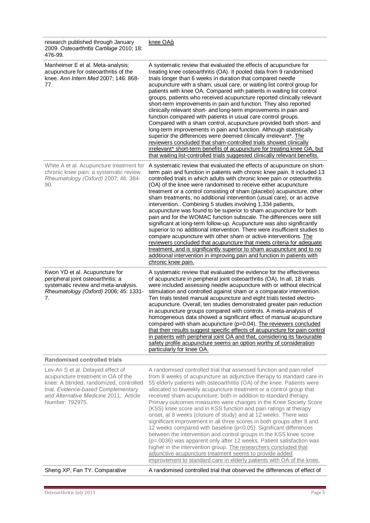| research published through January<br>2009. Osteoarthritis Cartilage 2010; 18:<br>476-99.                                                                                                                               | knee OA+                                                                                                                                                                                                                                                                                                                                                                                                                                                                                                                                                                                                                                                                                                                                                                                                                                                                                                                                                                                                                                                                                                                                            |
|-------------------------------------------------------------------------------------------------------------------------------------------------------------------------------------------------------------------------|-----------------------------------------------------------------------------------------------------------------------------------------------------------------------------------------------------------------------------------------------------------------------------------------------------------------------------------------------------------------------------------------------------------------------------------------------------------------------------------------------------------------------------------------------------------------------------------------------------------------------------------------------------------------------------------------------------------------------------------------------------------------------------------------------------------------------------------------------------------------------------------------------------------------------------------------------------------------------------------------------------------------------------------------------------------------------------------------------------------------------------------------------------|
| Manheimer E et al. Meta-analysis:<br>acupuncture for osteoarthritis of the<br>knee. Ann Intern Med 2007; 146: 868-<br>77.                                                                                               | A systematic review that evaluated the effects of acupuncture for<br>treating knee osteoarthritis (OA). It pooled data from 9 randomised<br>trials longer than 6 weeks in duration that compared needle<br>acupuncture with a sham, usual care, or waiting list control group for<br>patients with knee OA. Compared with patients in waiting list control<br>groups, patients who received acupuncture reported clinically relevant<br>short-term improvements in pain and function. They also reported<br>clinically relevant short- and long-term improvements in pain and<br>function compared with patients in usual care control groups.<br>Compared with a sham control, acupuncture provided both short- and<br>long-term improvements in pain and function. Although statistically<br>superior the differences were deemed clinically irrelevant*. The<br>reviewers concluded that sham-controlled trials showed clinically<br>irrelevant* short-term benefits of acupuncture for treating knee OA, but<br>that waiting list-controlled trials suggested clinically relevant benefits.                                                     |
| White A et al. Acupuncture treatment for<br>chronic knee pain: a systematic review.<br>Rheumatology (Oxford) 2007; 46: 384-<br>90.                                                                                      | A systematic review that evaluated the effects of acupuncture on short-<br>term pain and function in patients with chronic knee pain. It included 13<br>controlled trials in which adults with chronic knee pain or osteoarthritis<br>(OA) of the knee were randomised to receive either acupuncture<br>treatment or a control consisting of sham (placebo) acupuncture, other<br>sham treatments, no additional intervention (usual care), or an active<br>intervention Combining 5 studies involving 1,334 patients,<br>acupuncture was found to be superior to sham acupuncture for both<br>pain and for the WOMAC function subscale. The differences were still<br>significant at long-term follow-up. Acupuncture was also significantly<br>superior to no additional intervention. There were insufficient studies to<br>compare acupuncture with other sham or active interventions. The<br>reviewers concluded that acupuncture that meets criteria for adequate<br>treatment, and is significantly superior to sham acupuncture and to no<br>additional intervention in improving pain and function in patients with<br>chronic knee pain. |
| Kwon YD et al. Acupuncture for<br>peripheral joint osteoarthritis: a<br>systematic review and meta-analysis.<br>Rheumatology (Oxford) 2006; 45: 1331-<br>7.                                                             | A systematic review that evaluated the evidence for the effectiveness<br>of acupuncture in peripheral joint osteoarthritis (OA). In all, 18 trials<br>were included assessing needle acupuncture with or without electrical<br>stimulation and controlled against sham or a comparator intervention.<br>Ten trials tested manual acupuncture and eight trials tested electro-<br>acupuncture. Overall, ten studies demonstrated greater pain reduction<br>in acupuncture groups compared with controls. A meta-analysis of<br>homogeneous data showed a significant effect of manual acupuncture<br>compared with sham acupuncture (p=0.04). The reviewers concluded<br>that their results suggest specific effects of acupuncture for pain control<br>in patients with peripheral joint OA and that, considering its favourable<br>safety profile acupuncture seems an option worthy of consideration<br>particularly for knee OA.                                                                                                                                                                                                                 |
| Randomised controlled trials                                                                                                                                                                                            |                                                                                                                                                                                                                                                                                                                                                                                                                                                                                                                                                                                                                                                                                                                                                                                                                                                                                                                                                                                                                                                                                                                                                     |
| Lev-Ari S et al. Delayed effect of<br>acupuncture treatment in OA of the<br>knee: A blinded, randomized, controlled<br>trial. Evidence-based Complementary<br>and Alternative Medicine 2011; Article<br>Number: 792975. | A randomised controlled trial that assessed function and pain relief<br>from 8 weeks of acupuncture as adjunctive therapy to standard care in<br>55 elderly patients with osteoarthritis (OA) of the knee. Patients were<br>allocated to biweekly acupuncture treatment or a control group that<br>received sham acupuncture, both in addition to standard therapy.<br>Primary outcomes measures were changes in the Knee Society Score<br>(KSS) knee score and in KSS function and pain ratings at therapy<br>onset, at 8 weeks (closure of study) and at 12 weeks. There was<br>significant improvement in all three scores in both groups after 8 and<br>12 weeks compared with baseline (p<0.05). Significant differences<br>between the intervention and control groups in the KSS knee score<br>(p=.0036) was apparent only after 12 weeks. Patient satisfaction was<br>higher in the intervention group. The researchers concluded that<br>adjunctive acupuncture treatment seems to provide added<br>improvement to standard care in elderly patients with OA of the knee.                                                                  |
| Sheng XP, Fan TY. Comparative                                                                                                                                                                                           | A randomised controlled trial that observed the differences of effect of                                                                                                                                                                                                                                                                                                                                                                                                                                                                                                                                                                                                                                                                                                                                                                                                                                                                                                                                                                                                                                                                            |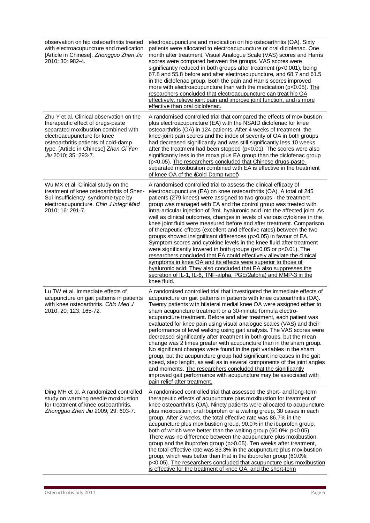| observation on hip osteoarthritis treated<br>with electroacupuncture and medication<br>[Article in Chinese]. Zhongguo Zhen Jiu<br>2010; 30: 982-4.                                                                                                            | electroacupuncture and medication on hip osteoarthritis (OA). Sixty<br>patients were allocated to electroacupuncture or oral diclofenac. One<br>month after treatment, Visual Analogue Scale (VAS) scores and Harris<br>scores were compared between the groups. VAS scores were<br>significantly reduced in both groups after treatment (p<0.001), being<br>67.8 and 55.8 before and after electroacupuncture, and 68.7 and 61.5<br>in the diclofenac group. Both the pain and Harris scores improved<br>more with electroacupuncture than with the medication (p<0.05). The<br>researchers concluded that electroacupuncture can treat hip OA<br>effectively, relieve joint pain and improve joint function, and is more<br>effective than oral diclofenac.                                                                                                                                                                                                                                                                                                                                                      |
|---------------------------------------------------------------------------------------------------------------------------------------------------------------------------------------------------------------------------------------------------------------|--------------------------------------------------------------------------------------------------------------------------------------------------------------------------------------------------------------------------------------------------------------------------------------------------------------------------------------------------------------------------------------------------------------------------------------------------------------------------------------------------------------------------------------------------------------------------------------------------------------------------------------------------------------------------------------------------------------------------------------------------------------------------------------------------------------------------------------------------------------------------------------------------------------------------------------------------------------------------------------------------------------------------------------------------------------------------------------------------------------------|
| Zhu Y et al. Clinical observation on the<br>therapeutic effect of drugs-paste<br>separated moxibustion combined with<br>electroacupuncture for knee<br>osteoarthritis patients of cold-damp<br>type. [Article in Chinese] Zhen Ci Yan<br>Jiu 2010; 35: 293-7. | A randomised controlled trial that compared the effects of moxibustion<br>plus electroacupuncture (EA) with the NSAID diclofenac for knee<br>osteoarthritis (OA) in 124 patients. After 4 weeks of treatment, the<br>knee-joint pain scores and the index of severity of OA in both groups<br>had decreased significantly and was still significantly less 10 weeks<br>after the treatment had been stopped (p<0.01). The scores were also<br>significantly less in the moxa plus EA group than the diclofenac group<br>(p<0.05). The researchers concluded that Chinese drugs-paste-<br>separated moxibustion combined with EA is effective in the treatment<br>of knee OA of the £old-Damp typeq                                                                                                                                                                                                                                                                                                                                                                                                                 |
| Wu MX et al. Clinical study on the<br>treatment of knee osteoarthritis of Shen-<br>Sui insufficiency syndrome type by<br>electroacupuncture. Chin J Integr Med<br>2010; 16: 291-7.                                                                            | A randomised controlled trial to assess the clinical efficacy of<br>electroacupuncture (EA) on knee osteoarthritis (OA). A total of 245<br>patients (279 knees) were assigned to two groups - the treatment<br>group was managed with EA and the control group was treated with<br>intra-articular injection of 2mL hyaluronic acid into the affected joint. As<br>well as clinical outcomes, changes in levels of various cytokines in the<br>knee joint fluid were measured before and after treatment. Comparison<br>of therapeutic effects (excellent and effective rates) between the two<br>groups showed insignificant differences (p>0.05) in favour of EA.<br>Symptom scores and cytokine levels in the knee fluid after treatment<br>were significantly lowered in both groups (p<0.05 or p<0.01). The<br>researchers concluded that EA could effectively alleviate the clinical<br>symptoms in knee OA and its effects were superior to those of<br>hyaluronic acid. They also concluded that EA also suppresses the<br>secretion of IL-1, IL-6, TNF-alpha, PGE(2alpha) and MMP-3 in the<br>knee fluid. |
| Lu TW et al. Immediate effects of<br>acupuncture on gait patterns in patients<br>with knee osteoarthritis. Chin Med J<br>2010; 20; 123: 165-72.                                                                                                               | A randomised controlled trial that investigated the immediate effects of<br>acupuncture on gait patterns in patients with knee osteoarthritis (OA).<br>Twenty patients with bilateral medial knee OA were assigned either to<br>sham acupuncture treatment or a 30-minute formula electro-<br>acupuncture treatment. Before and after treatment, each patient was<br>evaluated for knee pain using visual analogue scales (VAS) and their<br>performance of level walking using gait analysis. The VAS scores were<br>decreased significantly after treatment in both groups, but the mean<br>change was 2 times greater with acupuncture than in the sham group.<br>No significant changes were found in the gait variables in the sham<br>group, but the acupuncture group had significant increases in the gait<br>speed, step length, as well as in several components of the joint angles<br>and moments. The researchers concluded that the significantly<br>improved gait performance with acupuncture may be associated with<br>pain relief after treatment.                                               |
| Ding MH et al. A randomized controlled<br>study on warming needle moxibustion<br>for treatment of knee osteoarthritis.<br>Zhongguo Zhen Jiu 2009; 29: 603-7.                                                                                                  | A randomised controlled trial that assessed the short- and long-term<br>therapeutic effects of acupuncture plus moxibustion for treatment of<br>knee osteoarthritis (OA). Ninety patients were allocated to acupuncture<br>plus moxibustion, oral ibuprofen or a waiting group, 30 cases in each<br>group. After 2 weeks, the total effective rate was 86.7% in the<br>acupuncture plus moxibustion group, 90.0% in the ibuprofen group,<br>both of which were better than the waiting group (60.0%; p<0.05).<br>There was no difference between the acupuncture plus moxibustion<br>group and the ibuprofen group (p>0.05). Ten weeks after treatment,<br>the total effective rate was 83.3% in the acupuncture plus moxibustion<br>group, which was better than that in the ibuprofen group (60.0%;<br>p<0.05). The researchers concluded that acupuncture plus moxibustion<br>is effective for the treatment of knee OA, and the short-term                                                                                                                                                                     |